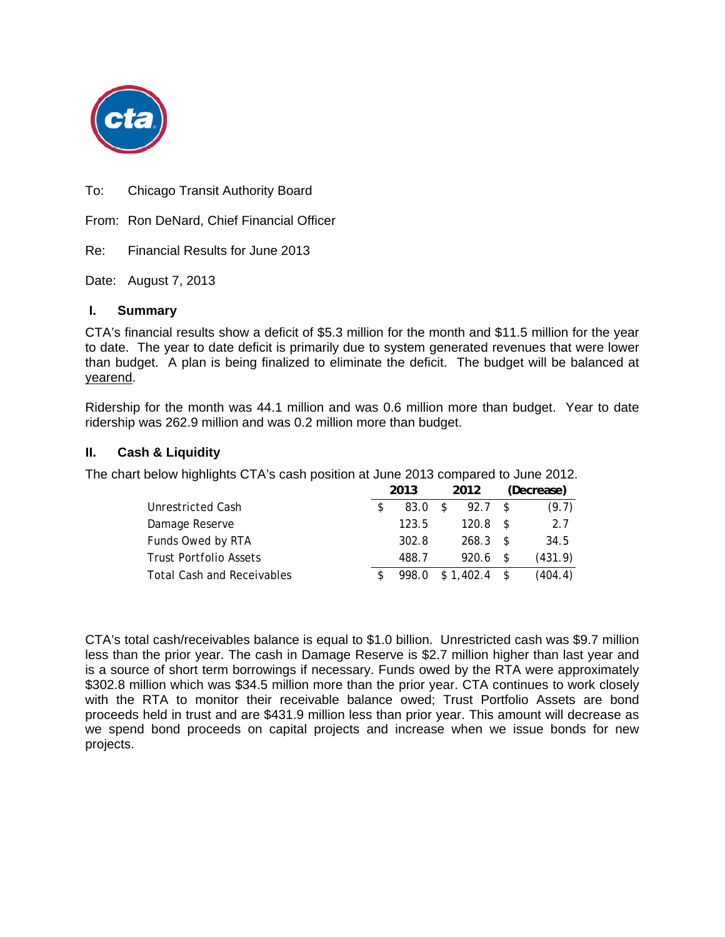

To: Chicago Transit Authority Board

From: Ron DeNard, Chief Financial Officer

Re: Financial Results for June 2013

Date: August 7, 2013

#### **I. Summary**

CTA's financial results show a deficit of \$5.3 million for the month and \$11.5 million for the year to date. The year to date deficit is primarily due to system generated revenues that were lower than budget. A plan is being finalized to eliminate the deficit. The budget will be balanced at yearend.

Ridership for the month was 44.1 million and was 0.6 million more than budget. Year to date ridership was 262.9 million and was 0.2 million more than budget.

#### **II. Cash & Liquidity**

The chart below highlights CTA's cash position at June 2013 compared to June 2012.

|                                   | 2013  |   | 2012          | (Decrease) |         |  |
|-----------------------------------|-------|---|---------------|------------|---------|--|
| Unrestricted Cash                 | 83.0  | S | 92.7          | - \$       | (9.7)   |  |
| Damage Reserve                    | 123.5 |   | $120.8$ \$    |            | 2.7     |  |
| Funds Owed by RTA                 | 302.8 |   | $268.3$ \$    |            | 34.5    |  |
| <b>Trust Portfolio Assets</b>     | 488.7 |   | 920.6         | - \$       | (431.9) |  |
| <b>Total Cash and Receivables</b> | 998.0 |   | $$1,402.4$ \$ |            | (404.4) |  |

CTA's total cash/receivables balance is equal to \$1.0 billion. Unrestricted cash was \$9.7 million less than the prior year. The cash in Damage Reserve is \$2.7 million higher than last year and is a source of short term borrowings if necessary. Funds owed by the RTA were approximately \$302.8 million which was \$34.5 million more than the prior year. CTA continues to work closely with the RTA to monitor their receivable balance owed; Trust Portfolio Assets are bond proceeds held in trust and are \$431.9 million less than prior year. This amount will decrease as we spend bond proceeds on capital projects and increase when we issue bonds for new projects.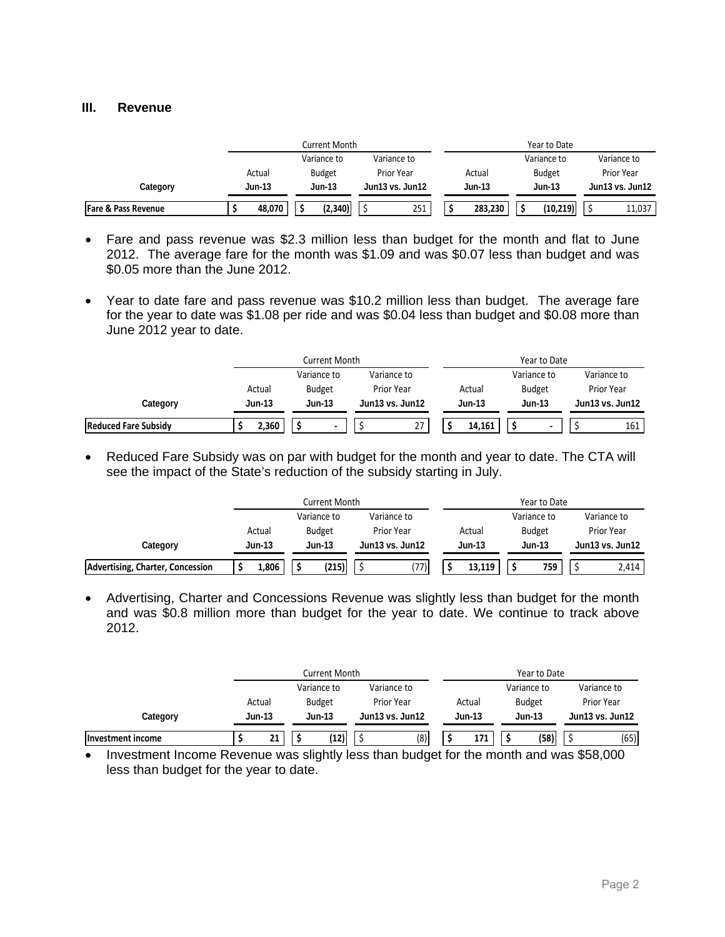#### **III. Revenue**

|                                |               | Current Month |                   | Year to Date  |               |                 |  |  |  |  |
|--------------------------------|---------------|---------------|-------------------|---------------|---------------|-----------------|--|--|--|--|
|                                |               | Variance to   | Variance to       |               | Variance to   | Variance to     |  |  |  |  |
|                                | Actual        | <b>Budget</b> | <b>Prior Year</b> | Actual        | <b>Budget</b> | Prior Year      |  |  |  |  |
| Category                       | <b>Jun-13</b> | <b>Jun-13</b> | Jun13 vs. Jun12   | <b>Jun-13</b> | <b>Jun-13</b> | Jun13 vs. Jun12 |  |  |  |  |
| <b>Fare &amp; Pass Revenue</b> | 48,070        | (2.340)       | 251               | 283.230       | (10.219)      | 11,037          |  |  |  |  |

- Fare and pass revenue was \$2.3 million less than budget for the month and flat to June 2012. The average fare for the month was \$1.09 and was \$0.07 less than budget and was \$0.05 more than the June 2012.
- Year to date fare and pass revenue was \$10.2 million less than budget. The average fare for the year to date was \$1.08 per ride and was \$0.04 less than budget and \$0.08 more than June 2012 year to date.

|                             |               | Current Month  |                 | Year to Date  |               |                 |  |  |  |  |  |
|-----------------------------|---------------|----------------|-----------------|---------------|---------------|-----------------|--|--|--|--|--|
|                             |               | Variance to    | Variance to     |               | Variance to   | Variance to     |  |  |  |  |  |
|                             | Actual        | <b>Budget</b>  | Prior Year      | Actual        | <b>Budget</b> | Prior Year      |  |  |  |  |  |
| Category                    | <b>Jun-13</b> | <b>Jun-13</b>  | Jun13 vs. Jun12 | <b>Jun-13</b> | Jun-13        | Jun13 vs. Jun12 |  |  |  |  |  |
| <b>Reduced Fare Subsidy</b> | 2,360         | $\blacksquare$ | 27              | 14.161        |               | 161             |  |  |  |  |  |

• Reduced Fare Subsidy was on par with budget for the month and year to date. The CTA will see the impact of the State's reduction of the subsidy starting in July.

|                                  |               | Current Month |  |                 | Year to Date |               |        |               |            |                 |  |
|----------------------------------|---------------|---------------|--|-----------------|--------------|---------------|--------|---------------|------------|-----------------|--|
|                                  |               | Variance to   |  | Variance to     |              |               |        | Variance to   |            | Variance to     |  |
|                                  | Actual        | <b>Budget</b> |  | Prior Year      | Actual       |               |        | <b>Budget</b> | Prior Year |                 |  |
| Category                         | <b>Jun-13</b> | <b>Jun-13</b> |  | Jun13 vs. Jun12 |              | <b>Jun-13</b> | Jun-13 |               |            | Jun13 vs. Jun12 |  |
| Advertising, Charter, Concession | 1,806         | (215)         |  | (77)            |              | 13.119        |        | 759           |            | 2,414           |  |

• Advertising, Charter and Concessions Revenue was slightly less than budget for the month and was \$0.8 million more than budget for the year to date. We continue to track above 2012.

|                          |               | Current Month |                 |               | Year to Date  |                   |  |  |  |  |  |  |
|--------------------------|---------------|---------------|-----------------|---------------|---------------|-------------------|--|--|--|--|--|--|
|                          |               | Variance to   | Variance to     |               | Variance to   | Variance to       |  |  |  |  |  |  |
|                          | Actual        | <b>Budget</b> | Prior Year      | Actual        | <b>Budget</b> | <b>Prior Year</b> |  |  |  |  |  |  |
| Category                 | <b>Jun-13</b> | <b>Jun-13</b> | Jun13 vs. Jun12 | <b>Jun-13</b> | <b>Jun-13</b> | Jun13 vs. Jun12   |  |  |  |  |  |  |
| <b>Investment income</b> | 21            | (12)          | (8)             | 171           | (58)          | (65)              |  |  |  |  |  |  |

• Investment Income Revenue was slightly less than budget for the month and was \$58,000 less than budget for the year to date.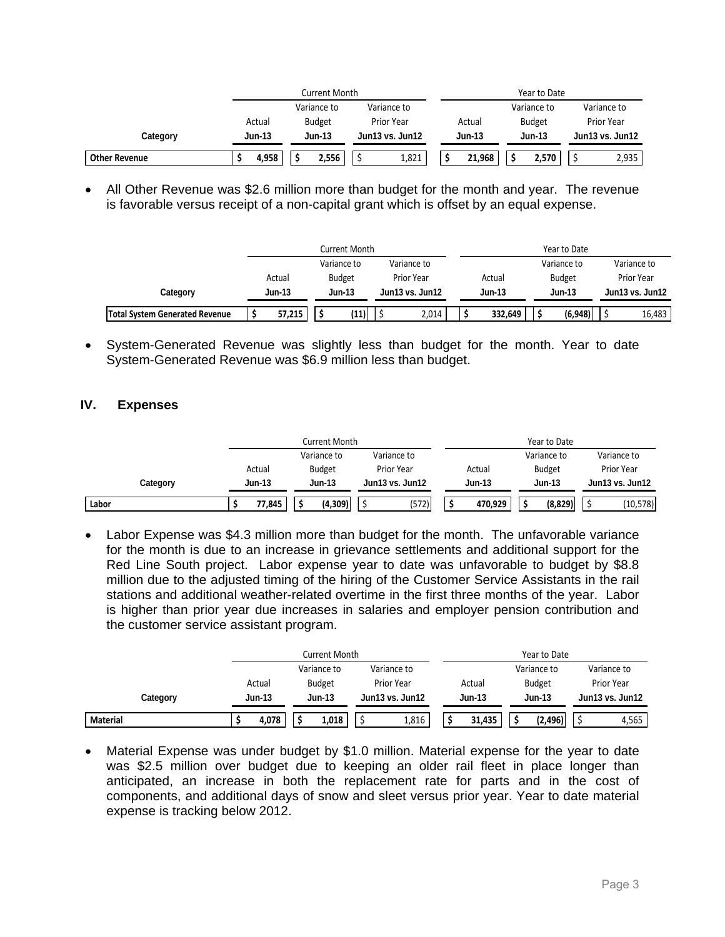|                      |               | Current Month                    |             | Year to Date  |               |                 |  |  |  |  |  |  |
|----------------------|---------------|----------------------------------|-------------|---------------|---------------|-----------------|--|--|--|--|--|--|
|                      |               | Variance to                      | Variance to |               | Variance to   | Variance to     |  |  |  |  |  |  |
|                      | Actual        | <b>Budget</b>                    | Prior Year  | Actual        | <b>Budget</b> | Prior Year      |  |  |  |  |  |  |
| Category             | <b>Jun-13</b> | <b>Jun-13</b><br>Jun13 vs. Jun12 |             | <b>Jun-13</b> | Jun-13        | Jun13 vs. Jun12 |  |  |  |  |  |  |
| <b>Other Revenue</b> | 4,958         | 2,556                            | 1,821       | 21.968        | 2.570         | 2,935           |  |  |  |  |  |  |

• All Other Revenue was \$2.6 million more than budget for the month and year. The revenue is favorable versus receipt of a non-capital grant which is offset by an equal expense.

|                                       |               |                            | Current Month |                 |                   |  | Year to Date  |               |                 |            |             |  |  |
|---------------------------------------|---------------|----------------------------|---------------|-----------------|-------------------|--|---------------|---------------|-----------------|------------|-------------|--|--|
|                                       |               | Variance to<br>Variance to |               |                 |                   |  |               |               | Variance to     |            | Variance to |  |  |
|                                       | Actual        | <b>Budget</b>              |               |                 | <b>Prior Year</b> |  | Actual        | <b>Budget</b> |                 | Prior Year |             |  |  |
| Category                              | <b>Jun-13</b> | Jun-13                     |               | Jun13 vs. Jun12 | <b>Jun-13</b>     |  | <b>Jun-13</b> |               | Jun13 vs. Jun12 |            |             |  |  |
| <b>Total System Generated Revenue</b> | 57,215        |                            | $^{\prime}11$ |                 | 2,014             |  | 332,649       |               | (6,948)         |            | 16,483      |  |  |

• System-Generated Revenue was slightly less than budget for the month. Year to date System-Generated Revenue was \$6.9 million less than budget.

### **IV. Expenses**

|          |               | Current Month |                   | Year to Date  |               |                 |  |  |  |  |
|----------|---------------|---------------|-------------------|---------------|---------------|-----------------|--|--|--|--|
|          |               | Variance to   | Variance to       |               | Variance to   | Variance to     |  |  |  |  |
|          | Actual        | <b>Budget</b> | <b>Prior Year</b> | Actual        | <b>Budget</b> | Prior Year      |  |  |  |  |
| Category | <b>Jun-13</b> | <b>Jun-13</b> | Jun13 vs. Jun12   | <b>Jun-13</b> | <b>Jun-13</b> | Jun13 vs. Jun12 |  |  |  |  |
| Labor    | 77,845        | (4,309)       | (572)             | 470,929       | (8,829)       | (10, 578)       |  |  |  |  |

• Labor Expense was \$4.3 million more than budget for the month. The unfavorable variance for the month is due to an increase in grievance settlements and additional support for the Red Line South project. Labor expense year to date was unfavorable to budget by \$8.8 million due to the adjusted timing of the hiring of the Customer Service Assistants in the rail stations and additional weather-related overtime in the first three months of the year. Labor is higher than prior year due increases in salaries and employer pension contribution and the customer service assistant program.

|          |               |                            | Current Month |  |                   | Year to Date |          |        |               |  |                 |  |  |
|----------|---------------|----------------------------|---------------|--|-------------------|--------------|----------|--------|---------------|--|-----------------|--|--|
|          |               | Variance to<br>Variance to |               |  |                   |              |          |        | Variance to   |  | Variance to     |  |  |
|          | Actual        |                            | <b>Budget</b> |  | <b>Prior Year</b> |              | Actual   |        | <b>Budget</b> |  | Prior Year      |  |  |
| Category | <b>Jun-13</b> |                            | <b>Jun-13</b> |  | Jun13 vs. Jun12   |              | $Jun-13$ | Jun-13 |               |  | Jun13 vs. Jun12 |  |  |
| Material | 4,078         |                            | 1.018         |  | 1,816             |              | 31,435   |        | (2, 496)      |  | 4,565           |  |  |

 Material Expense was under budget by \$1.0 million. Material expense for the year to date was \$2.5 million over budget due to keeping an older rail fleet in place longer than anticipated, an increase in both the replacement rate for parts and in the cost of components, and additional days of snow and sleet versus prior year. Year to date material expense is tracking below 2012.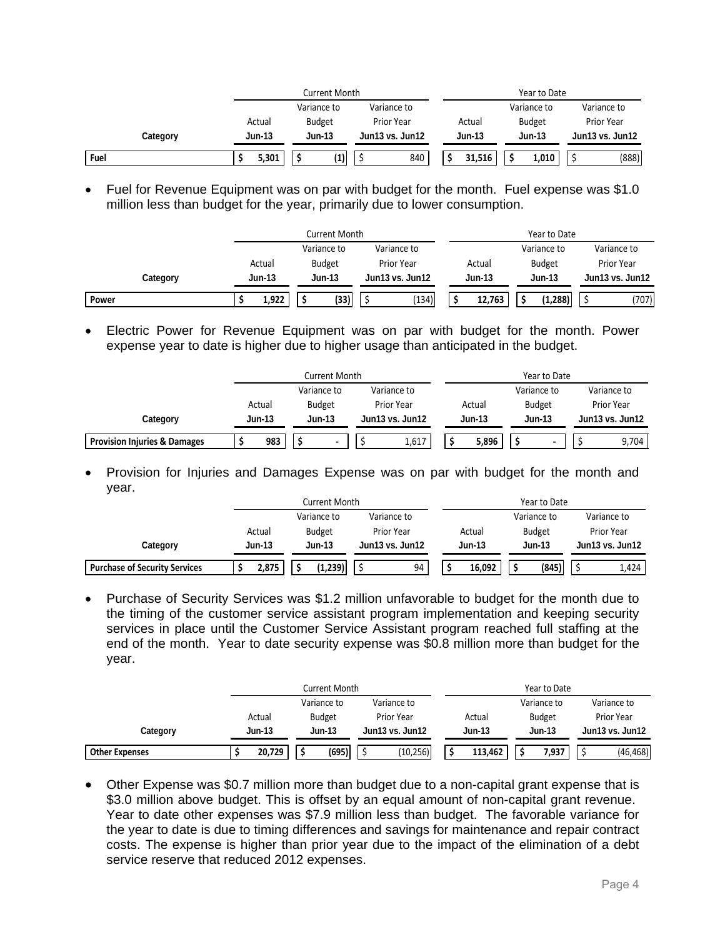|          |                         |                            | Current Month                    |            |     |               | Year to Date |               |                   |                 |             |  |  |  |
|----------|-------------------------|----------------------------|----------------------------------|------------|-----|---------------|--------------|---------------|-------------------|-----------------|-------------|--|--|--|
|          |                         | Variance to<br>Variance to |                                  |            |     |               |              |               | Variance to       |                 | Variance to |  |  |  |
|          | <b>Budget</b><br>Actual |                            |                                  | Prior Year |     | Actual        |              | <b>Budget</b> | <b>Prior Year</b> |                 |             |  |  |  |
| Category | <b>Jun-13</b>           |                            | <b>Jun-13</b><br>Jun13 vs. Jun12 |            |     | <b>Jun-13</b> |              | <b>Jun-13</b> |                   | Jun13 vs. Jun12 |             |  |  |  |
| Fuel     | 5,301                   |                            | (1)                              |            | 840 |               | 31.516       |               | 1.010             |                 | (888)       |  |  |  |

• Fuel for Revenue Equipment was on par with budget for the month. Fuel expense was \$1.0 million less than budget for the year, primarily due to lower consumption.

|          |               | Current Month |                 | Year to Date |               |                 |  |  |  |  |
|----------|---------------|---------------|-----------------|--------------|---------------|-----------------|--|--|--|--|
|          |               | Variance to   | Variance to     |              | Variance to   | Variance to     |  |  |  |  |
|          | Actual        | <b>Budget</b> | Prior Year      | Actual       | <b>Budget</b> | Prior Year      |  |  |  |  |
| Category | <b>Jun-13</b> | <b>Jun-13</b> | Jun13 vs. Jun12 | Jun-13       | <b>Jun-13</b> | Jun13 vs. Jun12 |  |  |  |  |
| Power    | 1,922         | (33)          | (134)           | 12,763       | (1, 288)      | (707)           |  |  |  |  |

 Electric Power for Revenue Equipment was on par with budget for the month. Power expense year to date is higher due to higher usage than anticipated in the budget.

|                                         |          |                            | Current Month  |  |                 |  | Year to Date  |               |               |            |                 |  |  |  |
|-----------------------------------------|----------|----------------------------|----------------|--|-----------------|--|---------------|---------------|---------------|------------|-----------------|--|--|--|
|                                         |          | Variance to<br>Variance to |                |  |                 |  |               |               | Variance to   |            | Variance to     |  |  |  |
|                                         | Actual   | <b>Budget</b>              |                |  | Prior Year      |  | Actual        |               | <b>Budget</b> | Prior Year |                 |  |  |  |
| Category                                | $Jun-13$ | <b>Jun-13</b>              |                |  | Jun13 vs. Jun12 |  | <b>Jun-13</b> | <b>Jun-13</b> |               |            | Jun13 vs. Jun12 |  |  |  |
| <b>Provision Injuries &amp; Damages</b> | 983      |                            | $\blacksquare$ |  | 1.617           |  | 5.896         |               |               |            | 9,704           |  |  |  |

• Provision for Injuries and Damages Expense was on par with budget for the month and year.

|                                      |               | <b>Current Month</b> |                 | Year to Date  |               |                 |  |
|--------------------------------------|---------------|----------------------|-----------------|---------------|---------------|-----------------|--|
|                                      |               | Variance to          | Variance to     |               | Variance to   | Variance to     |  |
|                                      | Actual        | <b>Budget</b>        | Prior Year      | Actual        | <b>Budget</b> | Prior Year      |  |
| Category                             | <b>Jun-13</b> | <b>Jun-13</b>        | Jun13 vs. Jun12 | <b>Jun-13</b> | Jun-13        | Jun13 vs. Jun12 |  |
| <b>Purchase of Security Services</b> | 2,875         | (1,239)              | 94              | 16,092        | (845)         | 1,424           |  |

 Purchase of Security Services was \$1.2 million unfavorable to budget for the month due to the timing of the customer service assistant program implementation and keeping security services in place until the Customer Service Assistant program reached full staffing at the end of the month. Year to date security expense was \$0.8 million more than budget for the year.

|                       |               | Current Month |                 | Year to Date         |               |                   |  |
|-----------------------|---------------|---------------|-----------------|----------------------|---------------|-------------------|--|
|                       |               | Variance to   | Variance to     |                      | Variance to   | Variance to       |  |
|                       | Actual        | <b>Budget</b> | Prior Year      | Actual               | <b>Budget</b> | <b>Prior Year</b> |  |
| Category              | <b>Jun-13</b> | <b>Jun-13</b> | Jun13 vs. Jun12 | $Jun-13$<br>$Jun-13$ |               | Jun13 vs. Jun12   |  |
| <b>Other Expenses</b> | 20,729        | (695)         | (10,256)        | 113,462              | 7,937         | (46, 468)         |  |

 Other Expense was \$0.7 million more than budget due to a non-capital grant expense that is \$3.0 million above budget. This is offset by an equal amount of non-capital grant revenue. Year to date other expenses was \$7.9 million less than budget. The favorable variance for the year to date is due to timing differences and savings for maintenance and repair contract costs. The expense is higher than prior year due to the impact of the elimination of a debt service reserve that reduced 2012 expenses.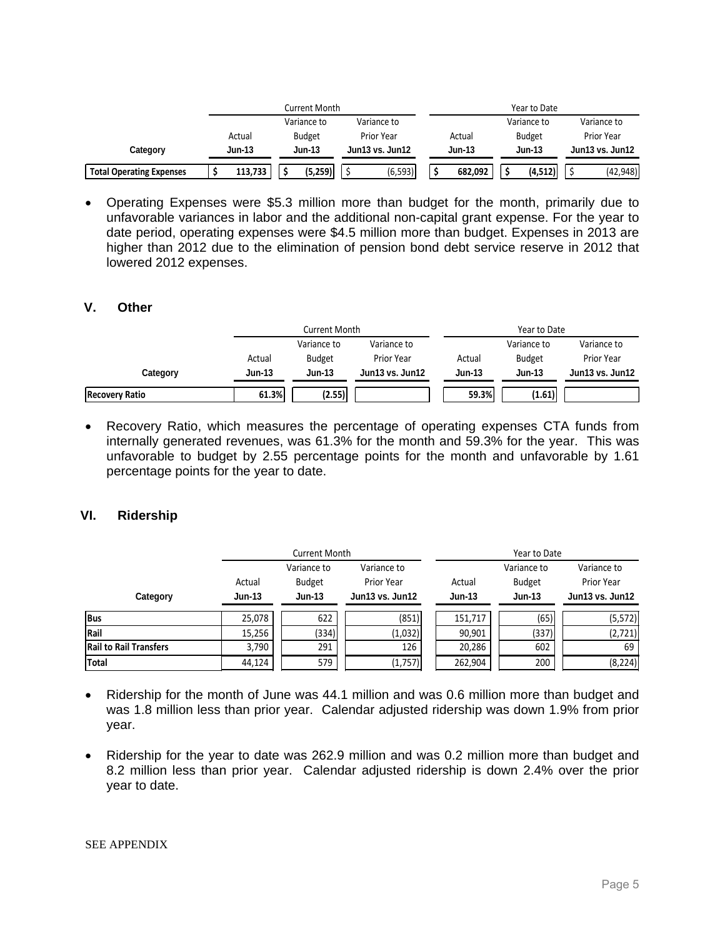|                                 | Current Month |          |               |                 | Year to Date |               |         |             |               |                 |                   |
|---------------------------------|---------------|----------|---------------|-----------------|--------------|---------------|---------|-------------|---------------|-----------------|-------------------|
|                                 | Variance to   |          |               | Variance to     |              |               |         | Variance to |               | Variance to     |                   |
|                                 | Actual        |          | <b>Budget</b> |                 | Prior Year   |               | Actual  |             | <b>Budget</b> |                 | <b>Prior Year</b> |
| Category                        | <b>Jun-13</b> | $Jun-13$ |               | Jun13 vs. Jun12 |              | <b>Jun-13</b> |         | $Jun-13$    |               | Jun13 vs. Jun12 |                   |
| <b>Total Operating Expenses</b> | 113,733       |          | (5,259)       |                 | (6,593)      |               | 682.092 |             | (4,512)       |                 | (42, 948)         |

 Operating Expenses were \$5.3 million more than budget for the month, primarily due to unfavorable variances in labor and the additional non-capital grant expense. For the year to date period, operating expenses were \$4.5 million more than budget. Expenses in 2013 are higher than 2012 due to the elimination of pension bond debt service reserve in 2012 that lowered 2012 expenses.

#### **V. Other**

|                       |                            | Current Month |                 |               | Year to Date  |                   |  |  |
|-----------------------|----------------------------|---------------|-----------------|---------------|---------------|-------------------|--|--|
|                       | Variance to<br>Variance to |               |                 |               | Variance to   | Variance to       |  |  |
|                       | Actual                     | <b>Budget</b> | Prior Year      | Actual        | <b>Budget</b> | <b>Prior Year</b> |  |  |
| Category              | <b>Jun-13</b>              | <b>Jun-13</b> | Jun13 vs. Jun12 | <b>Jun-13</b> | <b>Jun-13</b> | Jun13 vs. Jun12   |  |  |
| <b>Recovery Ratio</b> | 61.3%                      | (2.55)        |                 | 59.3%         | (1.61)        |                   |  |  |

 Recovery Ratio, which measures the percentage of operating expenses CTA funds from internally generated revenues, was 61.3% for the month and 59.3% for the year. This was unfavorable to budget by 2.55 percentage points for the month and unfavorable by 1.61 percentage points for the year to date.

#### **VI. Ridership**

|                               |        | <b>Current Month</b>         |                           | Year to Date  |                                        |                               |  |  |
|-------------------------------|--------|------------------------------|---------------------------|---------------|----------------------------------------|-------------------------------|--|--|
|                               | Actual | Variance to<br><b>Budget</b> | Variance to<br>Prior Year |               | Variance to<br><b>Budget</b><br>Actual |                               |  |  |
| Category                      | Jun-13 | <b>Jun-13</b>                | Jun13 vs. Jun12           | <b>Jun-13</b> | <b>Jun-13</b>                          | Prior Year<br>Jun13 vs. Jun12 |  |  |
| <b>Bus</b>                    | 25,078 | 622                          | (851)                     | 151,717       | (65)                                   | (5, 572)                      |  |  |
| Rail                          | 15,256 | (334)                        | (1,032)                   | 90,901        | (337)                                  | (2, 721)                      |  |  |
| <b>Rail to Rail Transfers</b> | 3,790  | 291                          | 126                       | 20,286        | 602                                    | 69                            |  |  |
| Total                         | 44,124 | 579                          | (1,757)                   | 262,904       | 200                                    | (8, 224)                      |  |  |

- Ridership for the month of June was 44.1 million and was 0.6 million more than budget and was 1.8 million less than prior year. Calendar adjusted ridership was down 1.9% from prior year.
- Ridership for the year to date was 262.9 million and was 0.2 million more than budget and 8.2 million less than prior year. Calendar adjusted ridership is down 2.4% over the prior year to date.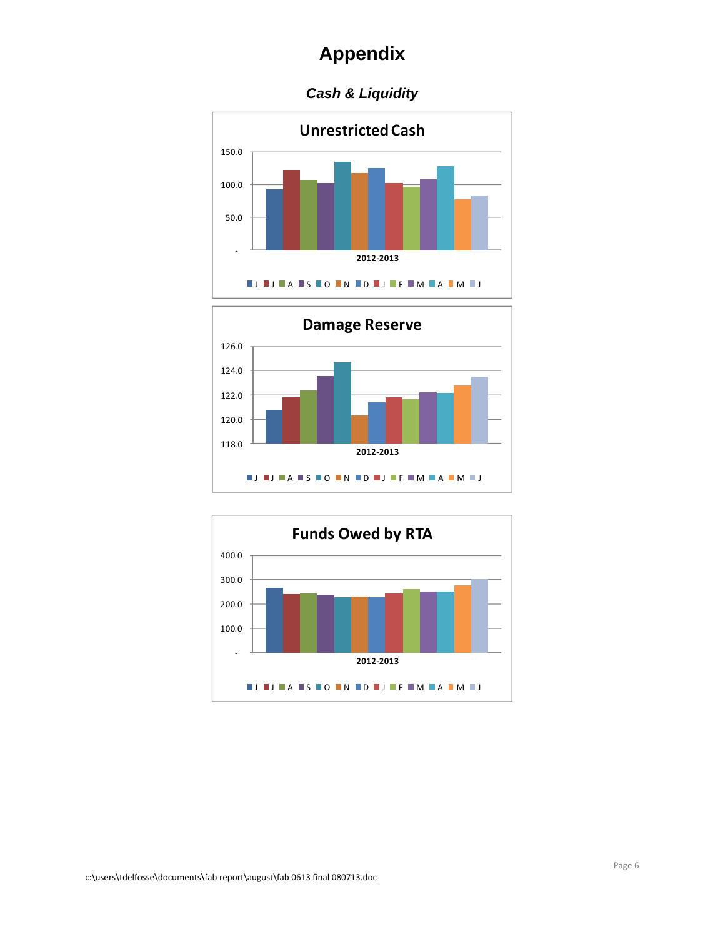### *Cash & Liquidity*





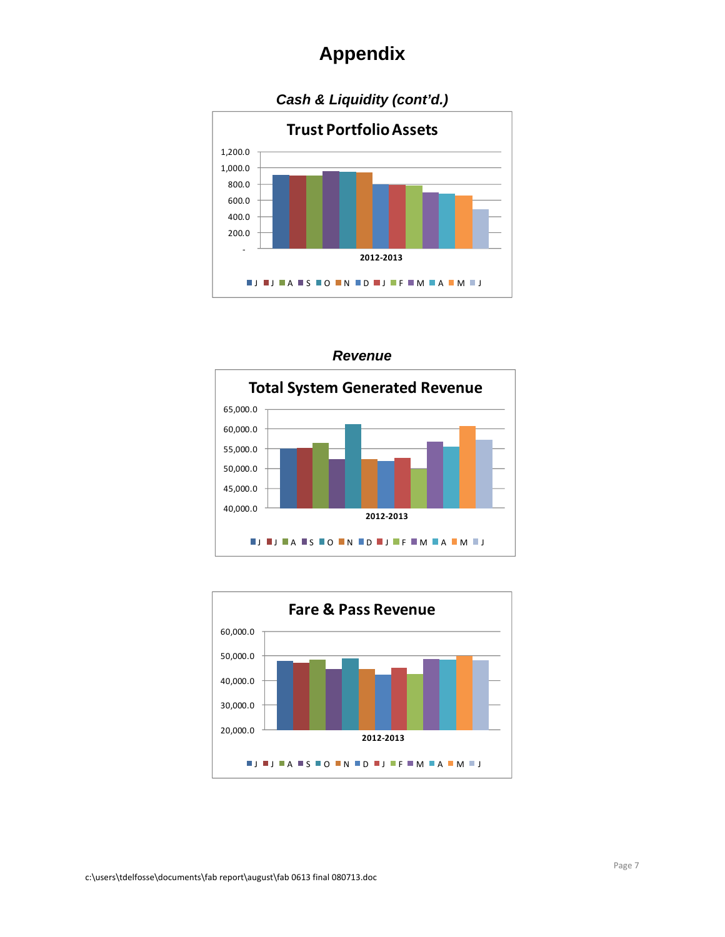



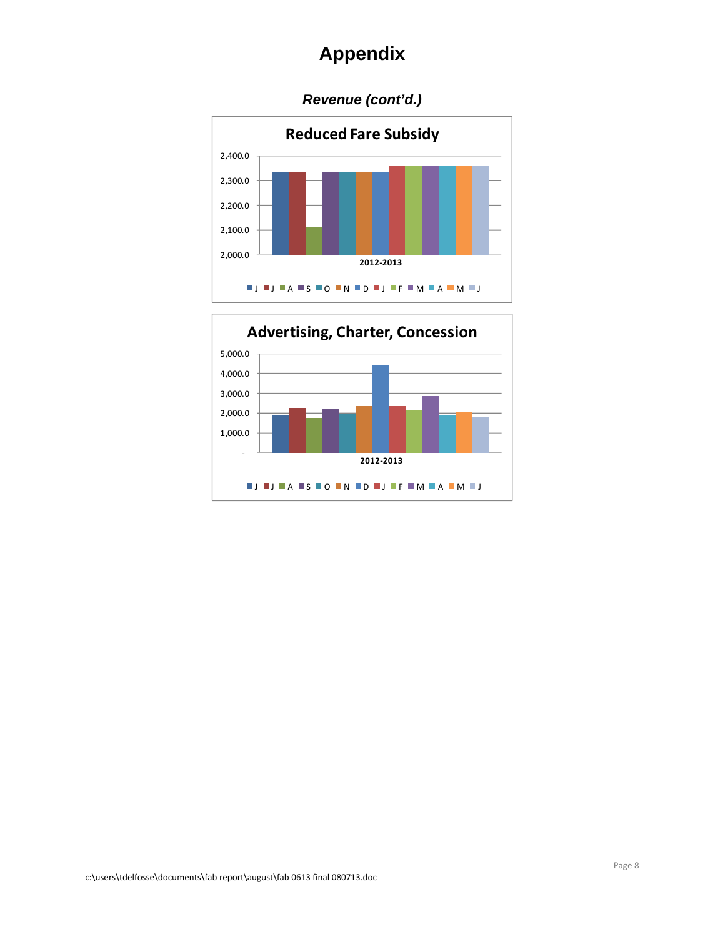### *Revenue (cont'd.)*



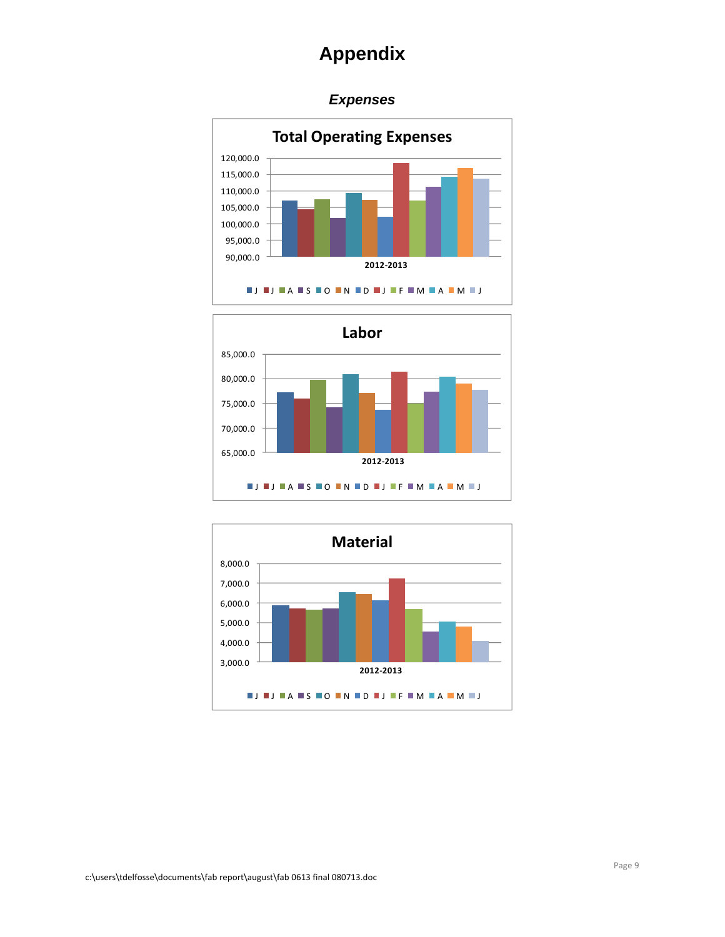### *Expenses*